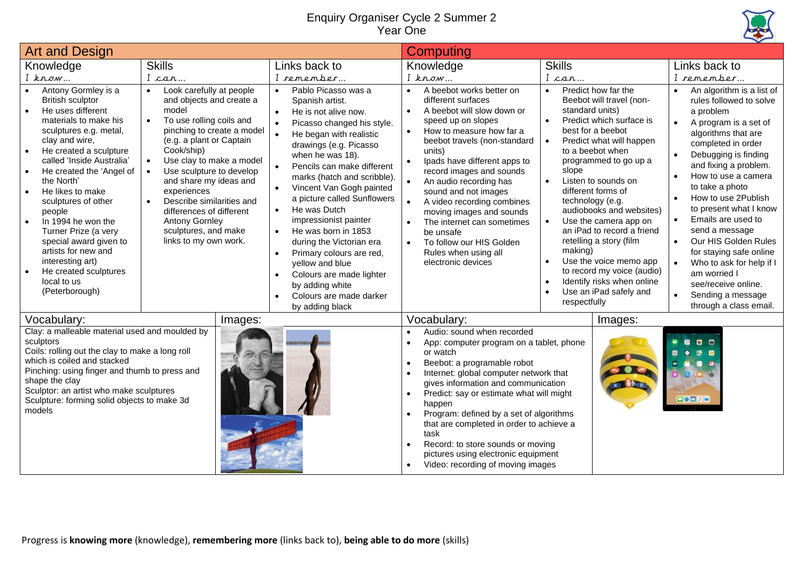## Enquiry Organiser Cycle 2 Summer 2 Year One



| <b>Art and Design</b>                                                                                                                                                                                                                                                                                                                                                                                                                                                                                 |                                                                                                                                                                                                                                                                                                                                                                                                                                                                        |                                                                                                                                                                                                                                                                                                                                                                                                                                                                                                                                                                              | <b>Computing</b>                                                                                                                                                                                                                                                                                                                                                                                                                                                                                                                                                    |                                                                                                                                                                                                                                                                                                                                                                                                                                                                                                                                                           |                                                                                                                                                                                                                                                                                                                                                                                                                                                                                                  |  |
|-------------------------------------------------------------------------------------------------------------------------------------------------------------------------------------------------------------------------------------------------------------------------------------------------------------------------------------------------------------------------------------------------------------------------------------------------------------------------------------------------------|------------------------------------------------------------------------------------------------------------------------------------------------------------------------------------------------------------------------------------------------------------------------------------------------------------------------------------------------------------------------------------------------------------------------------------------------------------------------|------------------------------------------------------------------------------------------------------------------------------------------------------------------------------------------------------------------------------------------------------------------------------------------------------------------------------------------------------------------------------------------------------------------------------------------------------------------------------------------------------------------------------------------------------------------------------|---------------------------------------------------------------------------------------------------------------------------------------------------------------------------------------------------------------------------------------------------------------------------------------------------------------------------------------------------------------------------------------------------------------------------------------------------------------------------------------------------------------------------------------------------------------------|-----------------------------------------------------------------------------------------------------------------------------------------------------------------------------------------------------------------------------------------------------------------------------------------------------------------------------------------------------------------------------------------------------------------------------------------------------------------------------------------------------------------------------------------------------------|--------------------------------------------------------------------------------------------------------------------------------------------------------------------------------------------------------------------------------------------------------------------------------------------------------------------------------------------------------------------------------------------------------------------------------------------------------------------------------------------------|--|
| Knowledge                                                                                                                                                                                                                                                                                                                                                                                                                                                                                             | <b>Skills</b>                                                                                                                                                                                                                                                                                                                                                                                                                                                          | Links back to                                                                                                                                                                                                                                                                                                                                                                                                                                                                                                                                                                | Knowledge                                                                                                                                                                                                                                                                                                                                                                                                                                                                                                                                                           | <b>Skills</b>                                                                                                                                                                                                                                                                                                                                                                                                                                                                                                                                             | Links back to                                                                                                                                                                                                                                                                                                                                                                                                                                                                                    |  |
| $I$ know                                                                                                                                                                                                                                                                                                                                                                                                                                                                                              | I can                                                                                                                                                                                                                                                                                                                                                                                                                                                                  | I remember.                                                                                                                                                                                                                                                                                                                                                                                                                                                                                                                                                                  | I know                                                                                                                                                                                                                                                                                                                                                                                                                                                                                                                                                              | I can                                                                                                                                                                                                                                                                                                                                                                                                                                                                                                                                                     | I remember                                                                                                                                                                                                                                                                                                                                                                                                                                                                                       |  |
| Antony Gormley is a<br><b>British sculptor</b><br>He uses different<br>materials to make his<br>sculptures e.g. metal,<br>clay and wire,<br>He created a sculpture<br>$\bullet$<br>called 'Inside Australia'<br>He created the 'Angel of<br>the North'<br>He likes to make<br>sculptures of other<br>people<br>In 1994 he won the<br>$\bullet$<br>Turner Prize (a very<br>special award given to<br>artists for new and<br>interesting art)<br>He created sculptures<br>local to us<br>(Peterborough) | Look carefully at people<br>$\bullet$<br>and objects and create a<br>model<br>To use rolling coils and<br>$\bullet$<br>pinching to create a model<br>(e.g. a plant or Captain<br>Cook/ship)<br>Use clay to make a model<br>$\bullet$<br>$\bullet$<br>Use sculpture to develop<br>and share my ideas and<br>experiences<br>Describe similarities and<br>$\bullet$<br>differences of different<br><b>Antony Gornley</b><br>sculptures, and make<br>links to my own work. | Pablo Picasso was a<br>Spanish artist.<br>He is not alive now.<br>Picasso changed his style.<br>He began with realistic<br>drawings (e.g. Picasso<br>when he was 18).<br>Pencils can make different<br>marks (hatch and scribble).<br>Vincent Van Gogh painted<br>$\bullet$<br>a picture called Sunflowers<br>He was Dutch<br>$\bullet$<br>impressionist painter<br>He was born in 1853<br>$\bullet$<br>during the Victorian era<br>Primary colours are red,<br>yellow and blue<br>Colours are made lighter<br>by adding white<br>Colours are made darker<br>by adding black | A beebot works better on<br>$\bullet$<br>different surfaces<br>A beebot will slow down or<br>$\bullet$<br>speed up on slopes<br>How to measure how far a<br>$\bullet$<br>beebot travels (non-standard<br>units)<br>Ipads have different apps to<br>record images and sounds<br>An audio recording has<br>sound and not images<br>A video recording combines<br>$\bullet$<br>moving images and sounds<br>The internet can sometimes<br>be unsafe<br>To follow our HIS Golden<br>$\bullet$<br>Rules when using all<br>electronic devices                              | Predict how far the<br>$\bullet$<br>Beebot will travel (non-<br>standard units)<br>Predict which surface is<br>$\bullet$<br>best for a beebot<br>Predict what will happen<br>to a beebot when<br>programmed to go up a<br>slope<br>Listen to sounds on<br>different forms of<br>technology (e.g.<br>audiobooks and websites)<br>Use the camera app on<br>an iPad to record a friend<br>retelling a story (film<br>making)<br>Use the voice memo app<br>to record my voice (audio)<br>Identify risks when online<br>Use an iPad safely and<br>respectfully | An algorithm is a list of<br>rules followed to solve<br>a problem<br>A program is a set of<br>algorithms that are<br>completed in order<br>Debugging is finding<br>and fixing a problem.<br>How to use a camera<br>to take a photo<br>How to use 2Publish<br>to present what I know<br>Emails are used to<br>send a message<br>Our HIS Golden Rules<br>for staying safe online<br>Who to ask for help if I<br>am worried I<br>see/receive online.<br>Sending a message<br>through a class email. |  |
| Vocabulary:                                                                                                                                                                                                                                                                                                                                                                                                                                                                                           | Images:                                                                                                                                                                                                                                                                                                                                                                                                                                                                |                                                                                                                                                                                                                                                                                                                                                                                                                                                                                                                                                                              | Vocabulary:                                                                                                                                                                                                                                                                                                                                                                                                                                                                                                                                                         | Images:                                                                                                                                                                                                                                                                                                                                                                                                                                                                                                                                                   |                                                                                                                                                                                                                                                                                                                                                                                                                                                                                                  |  |
| Clay: a malleable material used and moulded by<br>sculptors<br>Coils: rolling out the clay to make a long roll<br>which is coiled and stacked<br>Pinching: using finger and thumb to press and<br>shape the clay<br>Sculptor: an artist who make sculptures<br>Sculpture: forming solid objects to make 3d<br>models                                                                                                                                                                                  |                                                                                                                                                                                                                                                                                                                                                                                                                                                                        |                                                                                                                                                                                                                                                                                                                                                                                                                                                                                                                                                                              | Audio: sound when recorded<br>$\bullet$<br>App: computer program on a tablet, phone<br>$\bullet$<br>or watch<br>Beebot: a programable robot<br>$\bullet$<br>Internet: global computer network that<br>$\bullet$<br>gives information and communication<br>Predict: say or estimate what will might<br>$\bullet$<br>happen<br>Program: defined by a set of algorithms<br>that are completed in order to achieve a<br>task<br>Record: to store sounds or moving<br>$\bullet$<br>pictures using electronic equipment<br>Video: recording of moving images<br>$\bullet$ |                                                                                                                                                                                                                                                                                                                                                                                                                                                                                                                                                           | $\mathbf{g}_\mathrm{a}$<br>$\Box$<br>00000                                                                                                                                                                                                                                                                                                                                                                                                                                                       |  |